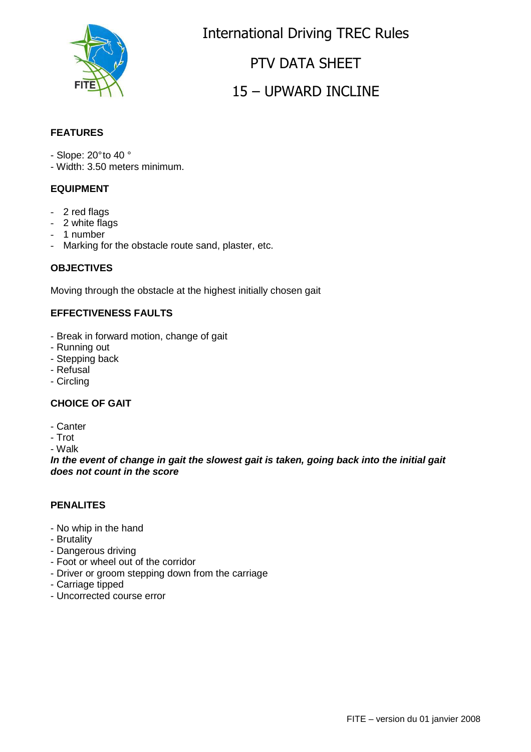

International Driving TREC Rules PTV DATA SHEET

# 15 – UPWARD INCLINE

### **FEATURES**

- Slope: 20° to 40 °
- Width: 3.50 meters minimum.

### **EQUIPMENT**

- 2 red flags
- 2 white flags
- 1 number
- Marking for the obstacle route sand, plaster, etc.

#### **OBJECTIVES**

Moving through the obstacle at the highest initially chosen gait

#### **EFFECTIVENESS FAULTS**

- Break in forward motion, change of gait
- Running out
- Stepping back
- Refusal
- Circling

#### **CHOICE OF GAIT**

- Canter
- Trot

- Walk

**In the event of change in gait the slowest gait is taken, going back into the initial gait does not count in the score**

#### **PENALITES**

- No whip in the hand
- Brutality
- Dangerous driving
- Foot or wheel out of the corridor
- Driver or groom stepping down from the carriage
- Carriage tipped
- Uncorrected course error